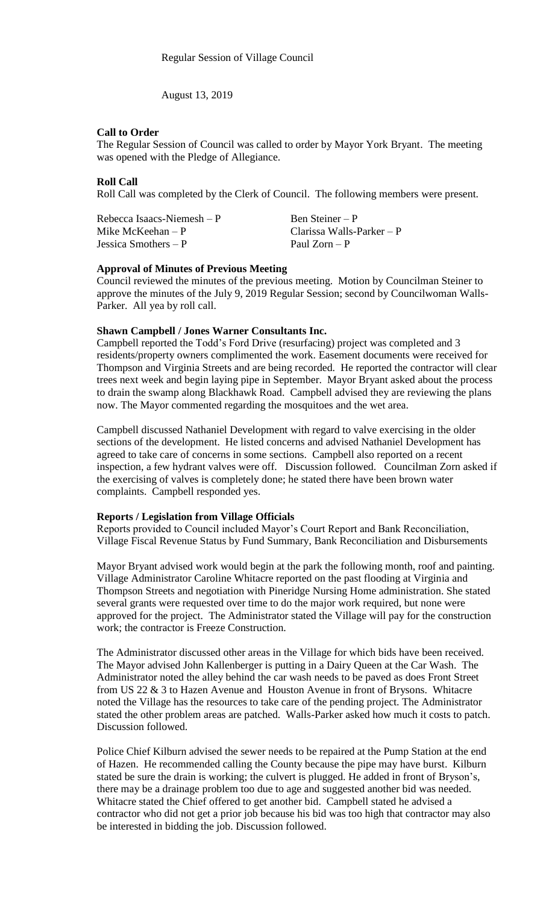August 13, 2019

### **Call to Order**

The Regular Session of Council was called to order by Mayor York Bryant. The meeting was opened with the Pledge of Allegiance.

# **Roll Call**

Roll Call was completed by the Clerk of Council. The following members were present.

| Rebecca Isaacs-Niemesh $-P$ | Ben Steiner – P             |
|-----------------------------|-----------------------------|
| Mike McKeehan $- P$         | Clarissa Walls-Parker $- P$ |
| Jessica Smothers $- P$      | Paul Zorn – P               |

#### **Approval of Minutes of Previous Meeting**

Council reviewed the minutes of the previous meeting. Motion by Councilman Steiner to approve the minutes of the July 9, 2019 Regular Session; second by Councilwoman Walls-Parker. All yea by roll call.

### **Shawn Campbell / Jones Warner Consultants Inc.**

Campbell reported the Todd's Ford Drive (resurfacing) project was completed and 3 residents/property owners complimented the work. Easement documents were received for Thompson and Virginia Streets and are being recorded. He reported the contractor will clear trees next week and begin laying pipe in September. Mayor Bryant asked about the process to drain the swamp along Blackhawk Road. Campbell advised they are reviewing the plans now. The Mayor commented regarding the mosquitoes and the wet area.

Campbell discussed Nathaniel Development with regard to valve exercising in the older sections of the development. He listed concerns and advised Nathaniel Development has agreed to take care of concerns in some sections. Campbell also reported on a recent inspection, a few hydrant valves were off. Discussion followed. Councilman Zorn asked if the exercising of valves is completely done; he stated there have been brown water complaints. Campbell responded yes.

### **Reports / Legislation from Village Officials**

Reports provided to Council included Mayor's Court Report and Bank Reconciliation, Village Fiscal Revenue Status by Fund Summary, Bank Reconciliation and Disbursements

Mayor Bryant advised work would begin at the park the following month, roof and painting. Village Administrator Caroline Whitacre reported on the past flooding at Virginia and Thompson Streets and negotiation with Pineridge Nursing Home administration. She stated several grants were requested over time to do the major work required, but none were approved for the project. The Administrator stated the Village will pay for the construction work; the contractor is Freeze Construction.

The Administrator discussed other areas in the Village for which bids have been received. The Mayor advised John Kallenberger is putting in a Dairy Queen at the Car Wash. The Administrator noted the alley behind the car wash needs to be paved as does Front Street from US 22 & 3 to Hazen Avenue and Houston Avenue in front of Brysons. Whitacre noted the Village has the resources to take care of the pending project. The Administrator stated the other problem areas are patched. Walls-Parker asked how much it costs to patch. Discussion followed.

Police Chief Kilburn advised the sewer needs to be repaired at the Pump Station at the end of Hazen. He recommended calling the County because the pipe may have burst. Kilburn stated be sure the drain is working; the culvert is plugged. He added in front of Bryson's, there may be a drainage problem too due to age and suggested another bid was needed. Whitacre stated the Chief offered to get another bid. Campbell stated he advised a contractor who did not get a prior job because his bid was too high that contractor may also be interested in bidding the job. Discussion followed.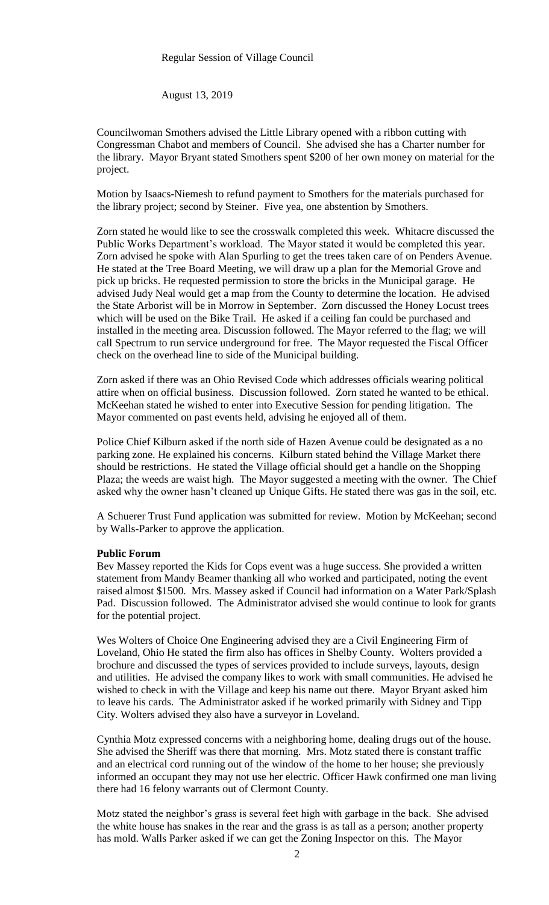August 13, 2019

Councilwoman Smothers advised the Little Library opened with a ribbon cutting with Congressman Chabot and members of Council. She advised she has a Charter number for the library. Mayor Bryant stated Smothers spent \$200 of her own money on material for the project.

Motion by Isaacs-Niemesh to refund payment to Smothers for the materials purchased for the library project; second by Steiner. Five yea, one abstention by Smothers.

Zorn stated he would like to see the crosswalk completed this week. Whitacre discussed the Public Works Department's workload. The Mayor stated it would be completed this year. Zorn advised he spoke with Alan Spurling to get the trees taken care of on Penders Avenue. He stated at the Tree Board Meeting, we will draw up a plan for the Memorial Grove and pick up bricks. He requested permission to store the bricks in the Municipal garage. He advised Judy Neal would get a map from the County to determine the location. He advised the State Arborist will be in Morrow in September. Zorn discussed the Honey Locust trees which will be used on the Bike Trail. He asked if a ceiling fan could be purchased and installed in the meeting area. Discussion followed. The Mayor referred to the flag; we will call Spectrum to run service underground for free. The Mayor requested the Fiscal Officer check on the overhead line to side of the Municipal building.

Zorn asked if there was an Ohio Revised Code which addresses officials wearing political attire when on official business. Discussion followed. Zorn stated he wanted to be ethical. McKeehan stated he wished to enter into Executive Session for pending litigation. The Mayor commented on past events held, advising he enjoyed all of them.

Police Chief Kilburn asked if the north side of Hazen Avenue could be designated as a no parking zone. He explained his concerns. Kilburn stated behind the Village Market there should be restrictions. He stated the Village official should get a handle on the Shopping Plaza; the weeds are waist high. The Mayor suggested a meeting with the owner. The Chief asked why the owner hasn't cleaned up Unique Gifts. He stated there was gas in the soil, etc.

A Schuerer Trust Fund application was submitted for review. Motion by McKeehan; second by Walls-Parker to approve the application.

#### **Public Forum**

Bev Massey reported the Kids for Cops event was a huge success. She provided a written statement from Mandy Beamer thanking all who worked and participated, noting the event raised almost \$1500. Mrs. Massey asked if Council had information on a Water Park/Splash Pad. Discussion followed. The Administrator advised she would continue to look for grants for the potential project.

Wes Wolters of Choice One Engineering advised they are a Civil Engineering Firm of Loveland, Ohio He stated the firm also has offices in Shelby County. Wolters provided a brochure and discussed the types of services provided to include surveys, layouts, design and utilities. He advised the company likes to work with small communities. He advised he wished to check in with the Village and keep his name out there. Mayor Bryant asked him to leave his cards. The Administrator asked if he worked primarily with Sidney and Tipp City. Wolters advised they also have a surveyor in Loveland.

Cynthia Motz expressed concerns with a neighboring home, dealing drugs out of the house. She advised the Sheriff was there that morning. Mrs. Motz stated there is constant traffic and an electrical cord running out of the window of the home to her house; she previously informed an occupant they may not use her electric. Officer Hawk confirmed one man living there had 16 felony warrants out of Clermont County.

Motz stated the neighbor's grass is several feet high with garbage in the back. She advised the white house has snakes in the rear and the grass is as tall as a person; another property has mold. Walls Parker asked if we can get the Zoning Inspector on this. The Mayor